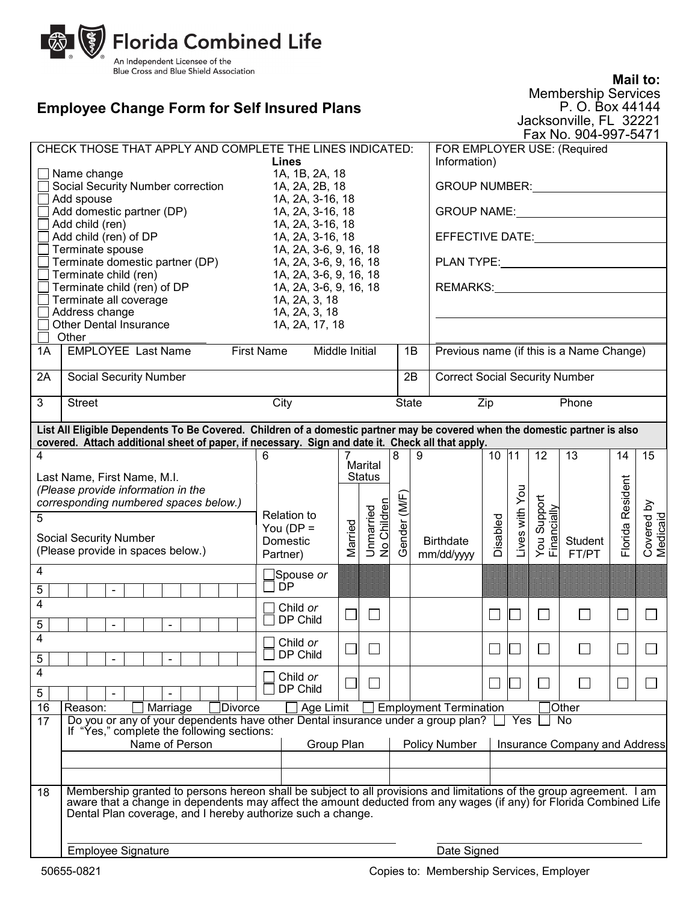

## **Employee Change Form for Self Insured Plans**

**Mail to:** Membership Services

P. O. Box 44144 Jacksonville, FL 32221 Fax No. 904-997-5471

| CHECK THOSE THAT APPLY AND COMPLETE THE LINES INDICATED:                                                                    |                                                                                                                                                                                   |                                |                          |                          |   |                  | FOR EMPLOYER USE: (Required                                                                                                                                                                                                         |                |                               |                 |                  |                        |    |  |
|-----------------------------------------------------------------------------------------------------------------------------|-----------------------------------------------------------------------------------------------------------------------------------------------------------------------------------|--------------------------------|--------------------------|--------------------------|---|------------------|-------------------------------------------------------------------------------------------------------------------------------------------------------------------------------------------------------------------------------------|----------------|-------------------------------|-----------------|------------------|------------------------|----|--|
| Lines                                                                                                                       |                                                                                                                                                                                   |                                |                          |                          |   |                  | Information)                                                                                                                                                                                                                        |                |                               |                 |                  |                        |    |  |
| 1A, 1B, 2A, 18<br>Name change<br>1A, 2A, 2B, 18                                                                             |                                                                                                                                                                                   |                                |                          |                          |   |                  | <b>GROUP NUMBER:</b>                                                                                                                                                                                                                |                |                               |                 |                  |                        |    |  |
| Social Security Number correction<br>Add spouse<br>1A, 2A, 3-16, 18                                                         |                                                                                                                                                                                   |                                |                          |                          |   |                  |                                                                                                                                                                                                                                     |                |                               |                 |                  |                        |    |  |
| Add domestic partner (DP)<br>1A, 2A, 3-16, 18                                                                               |                                                                                                                                                                                   |                                |                          |                          |   |                  | <b>GROUP NAME:</b> SAMPLE STATES AND THE STATES OF THE STATES OF THE STATES OF THE STATES OF THE STATES OF THE STATES OF THE STATES OF THE STATES OF THE STATES OF THE STATES OF THE STATES OF THE STATES OF THE STATES OF THE STAT |                |                               |                 |                  |                        |    |  |
| Add child (ren)<br>1A, 2A, 3-16, 18                                                                                         |                                                                                                                                                                                   |                                |                          |                          |   |                  |                                                                                                                                                                                                                                     |                |                               |                 |                  |                        |    |  |
| Add child (ren) of DP<br>1A, 2A, 3-16, 18                                                                                   |                                                                                                                                                                                   |                                |                          |                          |   |                  | EFFECTIVE DATE:                                                                                                                                                                                                                     |                |                               |                 |                  |                        |    |  |
| Terminate spouse<br>1A, 2A, 3-6, 9, 16, 18                                                                                  |                                                                                                                                                                                   |                                |                          |                          |   |                  |                                                                                                                                                                                                                                     |                |                               |                 |                  |                        |    |  |
|                                                                                                                             | Terminate domestic partner (DP)                                                                                                                                                   | 1A, 2A, 3-6, 9, 16, 18         |                          |                          |   |                  | <b>PLAN TYPE:</b> NOTE:                                                                                                                                                                                                             |                |                               |                 |                  |                        |    |  |
|                                                                                                                             | Terminate child (ren)                                                                                                                                                             | 1A, 2A, 3-6, 9, 16, 18         |                          |                          |   |                  |                                                                                                                                                                                                                                     |                |                               |                 |                  |                        |    |  |
|                                                                                                                             | Terminate child (ren) of DP                                                                                                                                                       | 1A, 2A, 3-6, 9, 16, 18         |                          |                          |   |                  | REMARKS: REMARKS:                                                                                                                                                                                                                   |                |                               |                 |                  |                        |    |  |
|                                                                                                                             | Terminate all coverage<br>Address change                                                                                                                                          | 1A, 2A, 3, 18<br>1A, 2A, 3, 18 |                          |                          |   |                  |                                                                                                                                                                                                                                     |                |                               |                 |                  |                        |    |  |
|                                                                                                                             | <b>Other Dental Insurance</b>                                                                                                                                                     | 1A, 2A, 17, 18                 |                          |                          |   |                  |                                                                                                                                                                                                                                     |                |                               |                 |                  |                        |    |  |
|                                                                                                                             | Other                                                                                                                                                                             |                                |                          |                          |   |                  |                                                                                                                                                                                                                                     |                |                               |                 |                  |                        |    |  |
| <b>EMPLOYEE Last Name</b><br><b>First Name</b><br>Middle Initial<br>1A                                                      |                                                                                                                                                                                   |                                |                          |                          |   | 1B               | Previous name (if this is a Name Change)                                                                                                                                                                                            |                |                               |                 |                  |                        |    |  |
| 2A                                                                                                                          | <b>Social Security Number</b>                                                                                                                                                     |                                |                          |                          |   | 2B               | <b>Correct Social Security Number</b>                                                                                                                                                                                               |                |                               |                 |                  |                        |    |  |
| 3                                                                                                                           | <b>Street</b>                                                                                                                                                                     | City                           |                          |                          |   | <b>State</b>     |                                                                                                                                                                                                                                     | Zip            |                               |                 | Phone            |                        |    |  |
| List All Eligible Dependents To Be Covered. Children of a domestic partner may be covered when the domestic partner is also |                                                                                                                                                                                   |                                |                          |                          |   |                  |                                                                                                                                                                                                                                     |                |                               |                 |                  |                        |    |  |
| covered. Attach additional sheet of paper, if necessary. Sign and date it. Check all that apply.                            |                                                                                                                                                                                   |                                |                          |                          |   |                  |                                                                                                                                                                                                                                     |                |                               |                 |                  |                        |    |  |
| 4                                                                                                                           |                                                                                                                                                                                   | 6                              | 7                        |                          | 8 | 9                |                                                                                                                                                                                                                                     | $10 \ 11$      |                               | $\overline{12}$ | $\overline{13}$  | 14                     | 15 |  |
|                                                                                                                             | Last Name, First Name, M.I.                                                                                                                                                       |                                |                          | Marital<br><b>Status</b> |   |                  |                                                                                                                                                                                                                                     |                |                               |                 |                  |                        |    |  |
|                                                                                                                             | (Please provide information in the                                                                                                                                                |                                |                          |                          |   |                  |                                                                                                                                                                                                                                     |                |                               |                 |                  |                        |    |  |
|                                                                                                                             | corresponding numbered spaces below.)                                                                                                                                             |                                |                          |                          |   |                  |                                                                                                                                                                                                                                     |                |                               |                 |                  |                        |    |  |
| 5                                                                                                                           |                                                                                                                                                                                   | <b>Relation to</b>             |                          | Gender (M/F              |   |                  |                                                                                                                                                                                                                                     |                | You Suppor<br>Financially     |                 | Florida Resident | Covered by<br>Medicaid |    |  |
|                                                                                                                             |                                                                                                                                                                                   | You ( $DP =$                   |                          |                          |   |                  | Disabled                                                                                                                                                                                                                            |                | Support                       |                 |                  |                        |    |  |
|                                                                                                                             | Social Security Number                                                                                                                                                            | Domestic                       | Unmarried<br>No Children |                          |   | <b>Birthdate</b> |                                                                                                                                                                                                                                     | Lives with You |                               | Student         |                  |                        |    |  |
|                                                                                                                             | (Please provide in spaces below.)                                                                                                                                                 | Partner)                       | Married                  |                          |   |                  | mm/dd/yyyy                                                                                                                                                                                                                          |                |                               |                 | FT/PT            |                        |    |  |
| 4                                                                                                                           |                                                                                                                                                                                   | Spouse or                      |                          |                          |   |                  |                                                                                                                                                                                                                                     |                |                               |                 |                  |                        |    |  |
| 5                                                                                                                           | $\blacksquare$                                                                                                                                                                    | <b>DP</b>                      |                          |                          |   |                  |                                                                                                                                                                                                                                     |                |                               |                 |                  |                        |    |  |
| 4                                                                                                                           |                                                                                                                                                                                   | Child or                       |                          |                          |   |                  |                                                                                                                                                                                                                                     |                |                               |                 |                  |                        |    |  |
|                                                                                                                             |                                                                                                                                                                                   | DP Child                       |                          |                          |   |                  |                                                                                                                                                                                                                                     | $\Box$         |                               | $\Box$          |                  | $\mathcal{L}$          |    |  |
| 5<br>4                                                                                                                      | $\blacksquare$<br>$\sim$                                                                                                                                                          |                                |                          |                          |   |                  |                                                                                                                                                                                                                                     |                |                               |                 |                  |                        |    |  |
|                                                                                                                             |                                                                                                                                                                                   | Child or                       |                          |                          |   |                  |                                                                                                                                                                                                                                     | П              |                               |                 |                  |                        |    |  |
| 5                                                                                                                           |                                                                                                                                                                                   | $\Box$ DP Child                |                          |                          |   |                  |                                                                                                                                                                                                                                     |                |                               |                 |                  |                        |    |  |
| 4                                                                                                                           |                                                                                                                                                                                   | Child or                       |                          |                          |   |                  |                                                                                                                                                                                                                                     |                |                               |                 |                  |                        |    |  |
| 5                                                                                                                           |                                                                                                                                                                                   | DP Child                       |                          |                          |   |                  |                                                                                                                                                                                                                                     | $\Box$         |                               |                 |                  |                        |    |  |
| 16                                                                                                                          | Divorce<br>Marriage<br>Reason:                                                                                                                                                    | Age Limit                      |                          |                          |   |                  | <b>Employment Termination</b>                                                                                                                                                                                                       |                |                               |                 | Other[           |                        |    |  |
| 17                                                                                                                          | Do you or any of your dependents have other Dental insurance under a group plan?<br>Yes<br>No                                                                                     |                                |                          |                          |   |                  |                                                                                                                                                                                                                                     |                |                               |                 |                  |                        |    |  |
|                                                                                                                             | If "Yes," complete the following sections:                                                                                                                                        |                                |                          |                          |   |                  |                                                                                                                                                                                                                                     |                |                               |                 |                  |                        |    |  |
|                                                                                                                             | Name of Person                                                                                                                                                                    |                                | Group Plan               |                          |   | Policy Number    |                                                                                                                                                                                                                                     |                | Insurance Company and Address |                 |                  |                        |    |  |
|                                                                                                                             |                                                                                                                                                                                   |                                |                          |                          |   |                  |                                                                                                                                                                                                                                     |                |                               |                 |                  |                        |    |  |
|                                                                                                                             |                                                                                                                                                                                   |                                |                          |                          |   |                  |                                                                                                                                                                                                                                     |                |                               |                 |                  |                        |    |  |
| 18                                                                                                                          | Membership granted to persons hereon shall be subject to all provisions and limitations of the group agreement. I am                                                              |                                |                          |                          |   |                  |                                                                                                                                                                                                                                     |                |                               |                 |                  |                        |    |  |
|                                                                                                                             | aware that a change in dependents may affect the amount deducted from any wages (if any) for Florida Combined Life<br>Dental Plan coverage, and I hereby authorize such a change. |                                |                          |                          |   |                  |                                                                                                                                                                                                                                     |                |                               |                 |                  |                        |    |  |
|                                                                                                                             |                                                                                                                                                                                   |                                |                          |                          |   |                  |                                                                                                                                                                                                                                     |                |                               |                 |                  |                        |    |  |
|                                                                                                                             |                                                                                                                                                                                   |                                |                          |                          |   |                  |                                                                                                                                                                                                                                     |                |                               |                 |                  |                        |    |  |
|                                                                                                                             | Date Signed<br><b>Employee Signature</b>                                                                                                                                          |                                |                          |                          |   |                  |                                                                                                                                                                                                                                     |                |                               |                 |                  |                        |    |  |

50655-0821 Copies to: Membership Services, Employer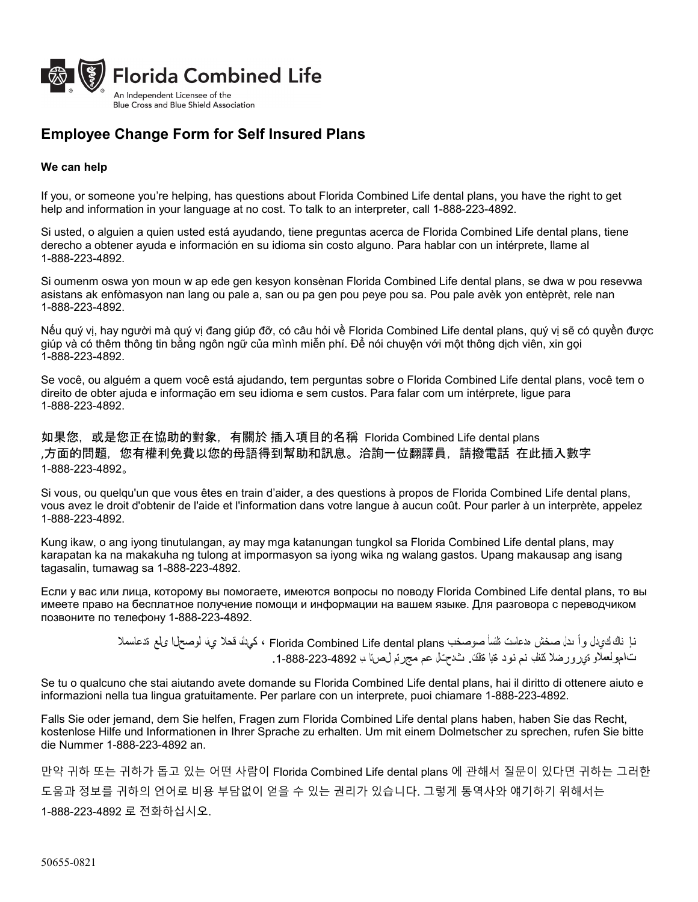

## **Employee Change Form for Self Insured Plans**

## **We can help**

If you, or someone you're helping, has questions about Florida Combined Life dental plans, you have the right to get help and information in your language at no cost. To talk to an interpreter, call 1-888-223-4892.

Si usted, o alguien a quien usted está ayudando, tiene preguntas acerca de Florida Combined Life dental plans, tiene derecho a obtener ayuda e información en su idioma sin costo alguno. Para hablar con un intérprete, llame al 1-888-223-4892.

Si oumenm oswa yon moun w ap ede gen kesyon konsènan Florida Combined Life dental plans, se dwa w pou resevwa asistans ak enfòmasyon nan lang ou pale a, san ou pa gen pou peye pou sa. Pou pale avèk yon entèprèt, rele nan 1-888-223-4892.

Nếu quý vị, hay người mà quý vị đang giúp đỡ, có câu hỏi về Florida Combined Life dental plans, quý vị sẽ có quyền được giúp và có thêm thông tin bằng ngôn ngữ của mình miễn phí. Để nói chuyện với một thông dịch viên, xin gọi 1-888-223-4892.

Se você, ou alguém a quem você está ajudando, tem perguntas sobre o Florida Combined Life dental plans, você tem o direito de obter ajuda e informação em seu idioma e sem custos. Para falar com um intérprete, ligue para 1-888-223-4892.

如果您,或是您正在協助的對象,有關於 插入項目的名稱 Florida Combined Life dental plans ,方面的問題,您有權利免費以您的母語得到幫助和訊息。洽詢一位翻譯員,請撥電話 在此插入數字 1-888-223-4892。

Si vous, ou quelqu'un que vous êtes en train d'aider, a des questions à propos de Florida Combined Life dental plans, vous avez le droit d'obtenir de l'aide et l'information dans votre langue à aucun coût. Pour parler à un interprète, appelez 1-888-223-4892.

Kung ikaw, o ang iyong tinutulangan, ay may mga katanungan tungkol sa Florida Combined Life dental plans, may karapatan ka na makakuha ng tulong at impormasyon sa iyong wika ng walang gastos. Upang makausap ang isang tagasalin, tumawag sa 1-888-223-4892.

Если у вас или лица, которому вы помогаете, имеются вопросы по поводу Florida Combined Life dental plans, то вы имеете право на бесплатное получение помощи и информации на вашем языке. Для разговора с переводчиком позвоните по телефону 1-888-223-4892.

> نإ ناك كيدل وأ ىدل صخش هدعاست ةلئسأ صوصخب plans dental Life Combined Florida ، كيدلف قحلا يف لوصحلا ىلع ةدعاسملا تامولعملاو ةيرورضلا كتغلب نم نود ةیا ةفلكت. ثدحتلل عم مجرتم لصتا ـب .1-888-223-4892

Se tu o qualcuno che stai aiutando avete domande su Florida Combined Life dental plans, hai il diritto di ottenere aiuto e informazioni nella tua lingua gratuitamente. Per parlare con un interprete, puoi chiamare 1-888-223-4892.

Falls Sie oder jemand, dem Sie helfen, Fragen zum Florida Combined Life dental plans haben, haben Sie das Recht, kostenlose Hilfe und Informationen in Ihrer Sprache zu erhalten. Um mit einem Dolmetscher zu sprechen, rufen Sie bitte die Nummer 1-888-223-4892 an.

만약 귀하 또는 귀하가 돕고 있는 어떤 사람이 Florida Combined Life dental plans 에 관해서 질문이 있다면 귀하는 그러한 도움과 정보를 귀하의 언어로 비용 부담없이 얻을 수 있는 권리가 있습니다. 그렇게 통역사와 얘기하기 위해서는 1-888-223-4892 로 전화하십시오.